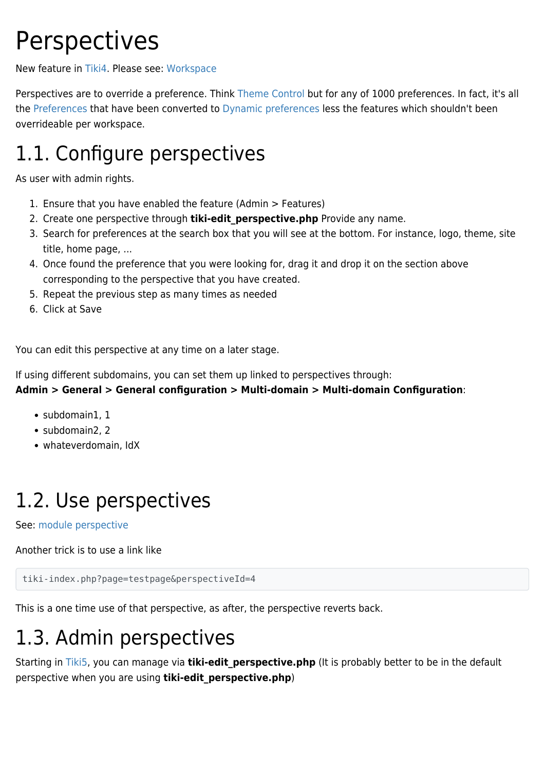# **Perspectives**

New feature in [Tiki4.](https://doc.tiki.org/Tiki4) Please see: [Workspace](https://doc.tiki.org/Workspace)

Perspectives are to override a preference. Think [Theme Control](https://doc.tiki.org/Theme-Control) but for any of 1000 preferences. In fact, it's all the [Preferences](https://doc.tiki.org/Preferences) that have been converted to [Dynamic preferences](http://dev.tiki.org/Dynamic%20preferences) less the features which shouldn't been overrideable per workspace.

### 1.1. Configure perspectives

As user with admin rights.

- 1. Ensure that you have enabled the feature (Admin > Features)
- 2. Create one perspective through **tiki-edit perspective.php** Provide any name.
- 3. Search for preferences at the search box that you will see at the bottom. For instance, logo, theme, site title, home page, ...
- 4. Once found the preference that you were looking for, drag it and drop it on the section above corresponding to the perspective that you have created.
- 5. Repeat the previous step as many times as needed
- 6. Click at Save

You can edit this perspective at any time on a later stage.

If using different subdomains, you can set them up linked to perspectives through:

**Admin > General > General configuration > Multi-domain > Multi-domain Configuration**:

- subdomain1, 1
- subdomain2, 2
- whateverdomain, IdX

### 1.2. Use perspectives

See: [module perspective](https://doc.tiki.org/module-perspective)

Another trick is to use a link like

tiki-index.php?page=testpage&perspectiveId=4

This is a one time use of that perspective, as after, the perspective reverts back.

### 1.3. Admin perspectives

Starting in [Tiki5](https://doc.tiki.org/Tiki5), you can manage via **tiki-edit perspective.php** (It is probably better to be in the default perspective when you are using **tiki-edit\_perspective.php**)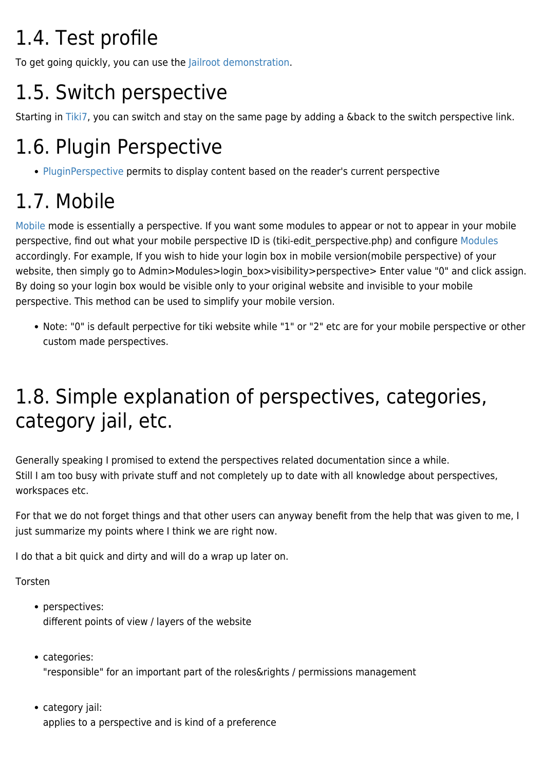## 1.4. Test profile

To get going quickly, you can use the [Jailroot demonstration](http://profiles.tiki.org/Jailroot_Demonstration).

## 1.5. Switch perspective

Starting in [Tiki7](https://doc.tiki.org/Tiki7), you can switch and stay on the same page by adding a &back to the switch perspective link.

### 1.6. Plugin Perspective

• [PluginPerspective](https://doc.tiki.org/PluginPerspective) permits to display content based on the reader's current perspective

## 1.7. Mobile

[Mobile](https://doc.tiki.org/Mobile) mode is essentially a perspective. If you want some modules to appear or not to appear in your mobile perspective, find out what your mobile perspective ID is (tiki-edit perspective.php) and configure [Modules](https://doc.tiki.org/Modules) accordingly. For example, If you wish to hide your login box in mobile version(mobile perspective) of your website, then simply go to Admin>Modules>login\_box>visibility>perspective> Enter value "0" and click assign. By doing so your login box would be visible only to your original website and invisible to your mobile perspective. This method can be used to simplify your mobile version.

Note: "0" is default perpective for tiki website while "1" or "2" etc are for your mobile perspective or other custom made perspectives.

### 1.8. Simple explanation of perspectives, categories, category jail, etc.

Generally speaking I promised to extend the perspectives related documentation since a while. Still I am too busy with private stuff and not completely up to date with all knowledge about perspectives, workspaces etc.

For that we do not forget things and that other users can anyway benefit from the help that was given to me, I just summarize my points where I think we are right now.

I do that a bit quick and dirty and will do a wrap up later on.

Torsten

- perspectives: different points of view / layers of the website
- categories: "responsible" for an important part of the roles&rights / permissions management
- category jail: applies to a perspective and is kind of a preference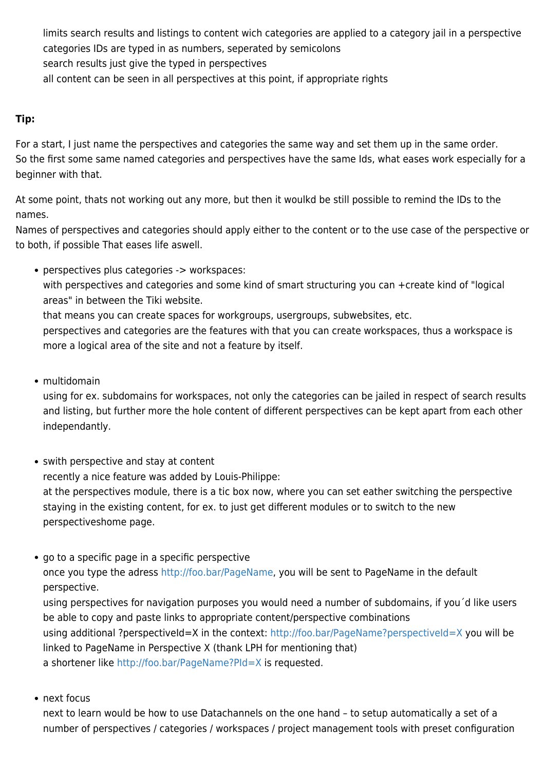limits search results and listings to content wich categories are applied to a category jail in a perspective categories IDs are typed in as numbers, seperated by semicolons search results just give the typed in perspectives all content can be seen in all perspectives at this point, if appropriate rights

#### **Tip:**

For a start, I just name the perspectives and categories the same way and set them up in the same order. So the first some same named categories and perspectives have the same Ids, what eases work especially for a beginner with that.

At some point, thats not working out any more, but then it woulkd be still possible to remind the IDs to the names.

Names of perspectives and categories should apply either to the content or to the use case of the perspective or to both, if possible That eases life aswell.

perspectives plus categories -> workspaces: with perspectives and categories and some kind of smart structuring you can +create kind of "logical areas" in between the Tiki website.

that means you can create spaces for workgroups, usergroups, subwebsites, etc.

perspectives and categories are the features with that you can create workspaces, thus a workspace is more a logical area of the site and not a feature by itself.

• multidomain

using for ex. subdomains for workspaces, not only the categories can be jailed in respect of search results and listing, but further more the hole content of different perspectives can be kept apart from each other independantly.

- swith perspective and stay at content recently a nice feature was added by Louis-Philippe: at the perspectives module, there is a tic box now, where you can set eather switching the perspective staying in the existing content, for ex. to just get different modules or to switch to the new perspectiveshome page.
- go to a specific page in a specific perspective once you type the adress<http://foo.bar/PageName>, you will be sent to PageName in the default perspective.

using perspectives for navigation purposes you would need a number of subdomains, if you´d like users be able to copy and paste links to appropriate content/perspective combinations using additional ?perspectiveId=X in the context:<http://foo.bar/PageName?perspectiveId=X> you will be linked to PageName in Perspective X (thank LPH for mentioning that) a shortener like <http://foo.bar/PageName?PId=X>is requested.

• next focus

next to learn would be how to use Datachannels on the one hand – to setup automatically a set of a number of perspectives / categories / workspaces / project management tools with preset configuration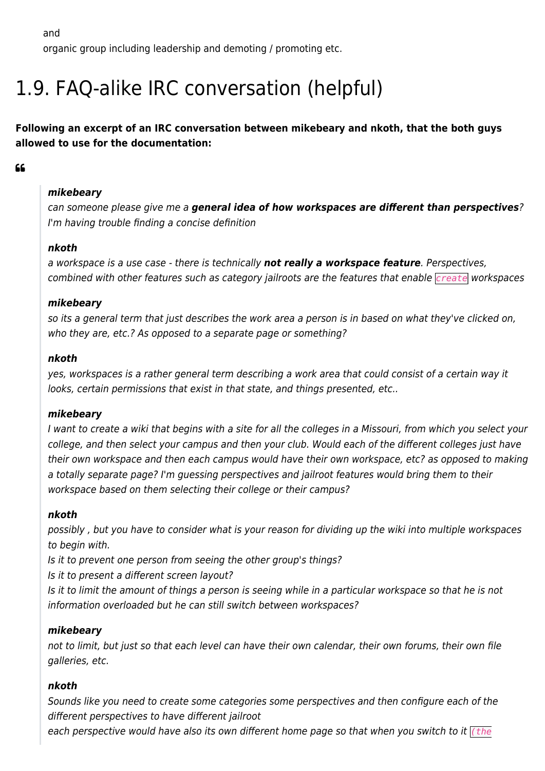and

organic group including leadership and demoting / promoting etc.

### 1.9. FAQ-alike IRC conversation (helpful)

**Following an excerpt of an IRC conversation between mikebeary and nkoth, that the both guys allowed to use for the documentation:**

#### 66

#### *mikebeary*

can someone please give me a *general idea of how workspaces are different than perspectives*? I'm having trouble finding a concise definition

#### *nkoth*

a workspace is a use case - there is technically *not really a workspace feature*. Perspectives, combined with other features such as category jailroots are the features that enable *create* workspaces

#### *mikebeary*

so its a general term that just describes the work area a person is in based on what they've clicked on, who they are, etc.? As opposed to a separate page or something?

#### *nkoth*

yes, workspaces is a rather general term describing a work area that could consist of a certain way it looks, certain permissions that exist in that state, and things presented, etc..

#### *mikebeary*

I want to create a wiki that begins with a site for all the colleges in a Missouri, from which you select your college, and then select your campus and then your club. Would each of the different colleges just have their own workspace and then each campus would have their own workspace, etc? as opposed to making a totally separate page? I'm guessing perspectives and jailroot features would bring them to their workspace based on them selecting their college or their campus?

#### *nkoth*

possibly , but you have to consider what is your reason for dividing up the wiki into multiple workspaces to begin with.

Is it to prevent one person from seeing the other group's things?

Is it to present a different screen layout?

Is it to limit the amount of things a person is seeing while in a particular workspace so that he is not information overloaded but he can still switch between workspaces?

#### *mikebeary*

not to limit, but just so that each level can have their own calendar, their own forums, their own file galleries, etc.

#### *nkoth*

Sounds like you need to create some categories some perspectives and then configure each of the different perspectives to have different jailroot

each perspective would have also its own different home page so that when you switch to it *(the*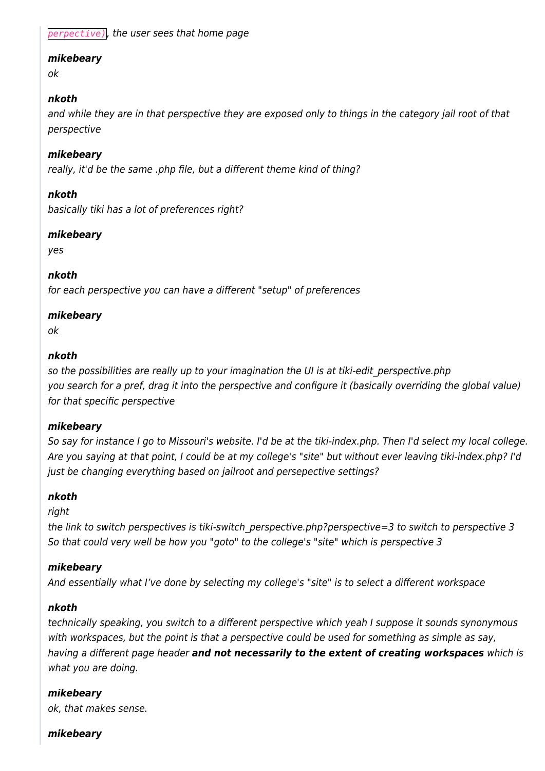*perpective)*, the user sees that home page

#### *mikebeary*

ok

#### *nkoth*

and while they are in that perspective they are exposed only to things in the category jail root of that perspective

#### *mikebeary*

really, it'd be the same .php file, but a different theme kind of thing?

#### *nkoth*

basically tiki has a lot of preferences right?

#### *mikebeary*

yes

#### *nkoth*

for each perspective you can have a different "setup" of preferences

#### *mikebeary*

ok

#### *nkoth*

so the possibilities are really up to your imagination the UI is at tiki-edit perspective.php you search for a pref, drag it into the perspective and configure it (basically overriding the global value) for that specific perspective

#### *mikebeary*

So say for instance I go to Missouri's website. I'd be at the tiki-index.php. Then I'd select my local college. Are you saying at that point, I could be at my college's "site" but without ever leaving tiki-index.php? I'd just be changing everything based on jailroot and persepective settings?

#### *nkoth*

right

the link to switch perspectives is tiki-switch perspective.php?perspective=3 to switch to perspective 3 So that could very well be how you "goto" to the college's "site" which is perspective 3

#### *mikebeary*

And essentially what I've done by selecting my college's "site" is to select a different workspace

#### *nkoth*

technically speaking, you switch to a different perspective which yeah I suppose it sounds synonymous with workspaces, but the point is that a perspective could be used for something as simple as say, having a different page header *and not necessarily to the extent of creating workspaces* which is what you are doing.

#### *mikebeary*

ok, that makes sense.

#### *mikebeary*